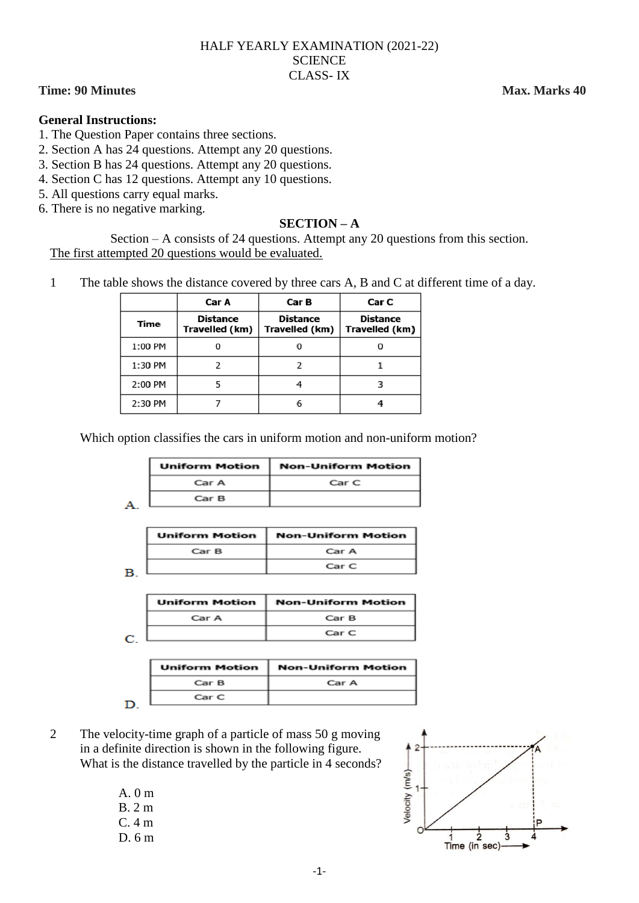#### HALF YEARLY EXAMINATION (2021-22) **SCIENCE** CLASS- IX

## **Time: 90 Minutes Max. Marks 40**

#### **General Instructions:**

- 1. The Question Paper contains three sections.
- 2. Section A has 24 questions. Attempt any 20 questions.
- 3. Section B has 24 questions. Attempt any 20 questions.
- 4. Section C has 12 questions. Attempt any 10 questions.
- 5. All questions carry equal marks.
- 6. There is no negative marking.

#### **SECTION – A**

Section – A consists of 24 questions. Attempt any 20 questions from this section. The first attempted 20 questions would be evaluated.

1 The table shows the distance covered by three cars A, B and C at different time of a day.

|         | Car A                             | Car B                             | Car C                             |
|---------|-----------------------------------|-----------------------------------|-----------------------------------|
| Time    | <b>Distance</b><br>Travelled (km) | <b>Distance</b><br>Travelled (km) | <b>Distance</b><br>Travelled (km) |
| 1:00 PM |                                   |                                   |                                   |
| 1:30 PM |                                   |                                   |                                   |
| 2:00 PM |                                   |                                   |                                   |
| 2:30 PM |                                   |                                   |                                   |

Which option classifies the cars in uniform motion and non-uniform motion?

| <b>Uniform Motion</b> | <b>Non-Uniform Motion</b> |
|-----------------------|---------------------------|
| Car A                 | Car C                     |
| Car B                 |                           |

| <b>Uniform Motion</b> | <b>Non-Uniform Motion</b> |
|-----------------------|---------------------------|
| CarB                  | Car A                     |
|                       | Car C                     |

 $\mathbf{B}$ 

| <b>Uniform Motion</b> | <b>Non-Uniform Motion</b> |
|-----------------------|---------------------------|
| Car A                 | Car B                     |
|                       | Car C                     |

C.

| <b>Uniform Motion</b> | <b>Non-Uniform Motion</b> |
|-----------------------|---------------------------|
| CarB                  | Car A                     |
| Car C                 |                           |

D.

2 The velocity-time graph of a particle of mass 50 g moving in a definite direction is shown in the following figure. What is the distance travelled by the particle in 4 seconds?

> A.  $0 m$ B. 2 m C. 4 m D. 6 m

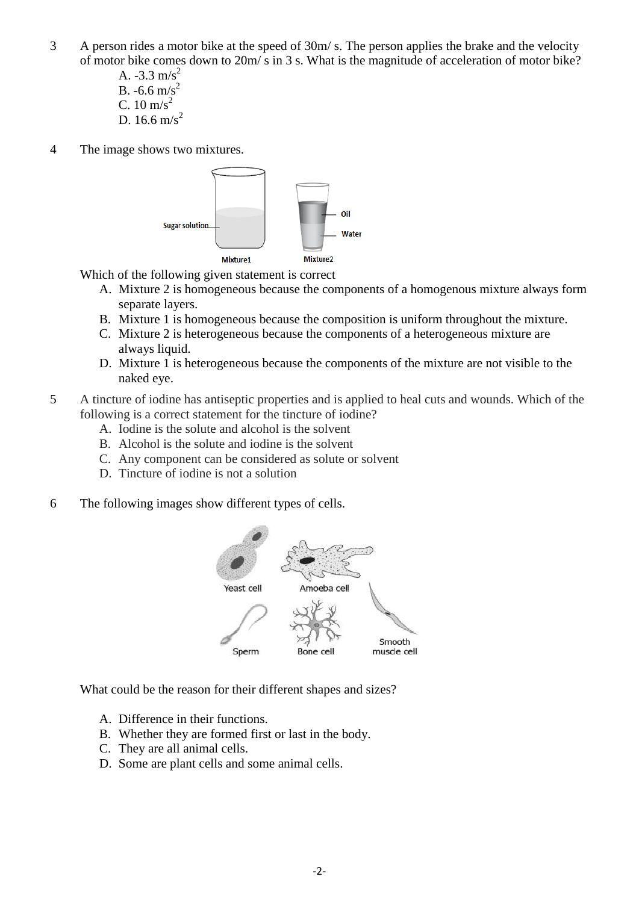3 A person rides a motor bike at the speed of 30m/ s. The person applies the brake and the velocity of motor bike comes down to 20m/ s in 3 s. What is the magnitude of acceleration of motor bike?

> A.  $-3.3$  m/s<sup>2</sup> B. -6.6 m/s<sup>2</sup> C.  $10 \text{ m/s}^2$ D. 16.6 m/s<sup>2</sup>

4 The image shows two mixtures.



Which of the following given statement is correct

- A. Mixture 2 is homogeneous because the components of a homogenous mixture always form separate layers.
- B. Mixture 1 is homogeneous because the composition is uniform throughout the mixture.
- C. Mixture 2 is heterogeneous because the components of a heterogeneous mixture are always liquid.
- D. Mixture 1 is heterogeneous because the components of the mixture are not visible to the naked eye.
- 5 A tincture of iodine has antiseptic properties and is applied to heal cuts and wounds. Which of the following is a correct statement for the tincture of iodine?
	- A. Iodine is the solute and alcohol is the solvent
	- B. Alcohol is the solute and iodine is the solvent
	- C. Any component can be considered as solute or solvent
	- D. Tincture of iodine is not a solution
- 6 The following images show different types of cells.



What could be the reason for their different shapes and sizes?

- A. Difference in their functions.
- B. Whether they are formed first or last in the body.
- C. They are all animal cells.
- D. Some are plant cells and some animal cells.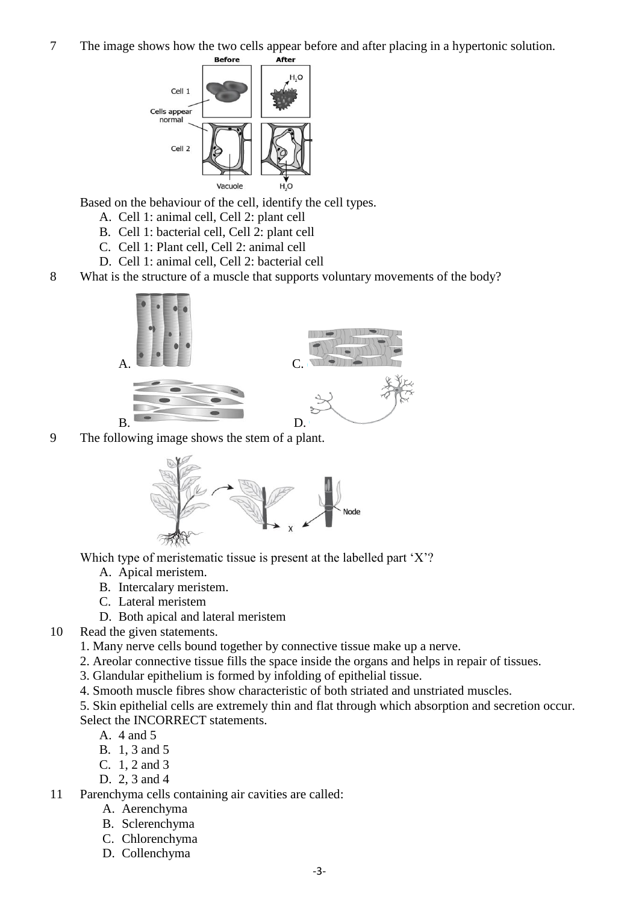7 The image shows how the two cells appear before and after placing in a hypertonic solution.



Based on the behaviour of the cell, identify the cell types.

- A. Cell 1: animal cell, Cell 2: plant cell
- B. Cell 1: bacterial cell, Cell 2: plant cell
- C. Cell 1: Plant cell, Cell 2: animal cell
- D. Cell 1: animal cell, Cell 2: bacterial cell
- 8 What is the structure of a muscle that supports voluntary movements of the body?



9 The following image shows the stem of a plant.



Which type of meristematic tissue is present at the labelled part 'X'?

- A. Apical meristem.
- B. Intercalary meristem.
- C. Lateral meristem
- D. Both apical and lateral meristem
- 10 Read the given statements.
	- 1. Many nerve cells bound together by connective tissue make up a nerve.
	- 2. Areolar connective tissue fills the space inside the organs and helps in repair of tissues.
	- 3. Glandular epithelium is formed by infolding of epithelial tissue.
	- 4. Smooth muscle fibres show characteristic of both striated and unstriated muscles.

5. Skin epithelial cells are extremely thin and flat through which absorption and secretion occur. Select the INCORRECT statements.

- A. 4 and 5
- B. 1, 3 and 5
- C. 1, 2 and 3
- D. 2, 3 and 4

11 Parenchyma cells containing air cavities are called:

- A. Aerenchyma
- B. Sclerenchyma
- C. Chlorenchyma
- D. Collenchyma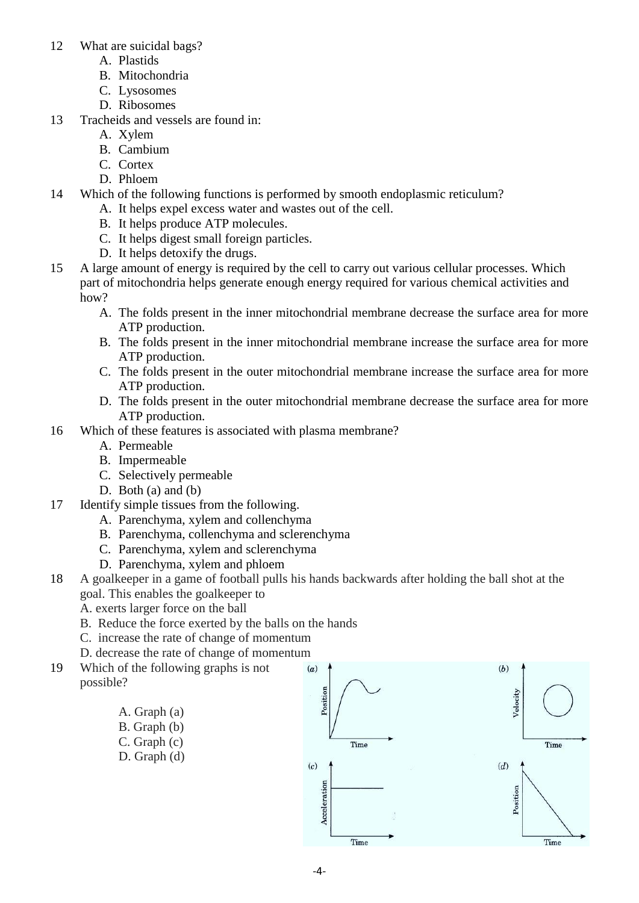- 12 What are suicidal bags?
	- A. Plastids
	- B. Mitochondria
	- C. Lysosomes
	- D. Ribosomes
- 13 Tracheids and vessels are found in:
	- A. Xylem
	- B. Cambium
	- C. Cortex
	- D. Phloem
- 14 Which of the following functions is performed by smooth endoplasmic reticulum?
	- A. It helps expel excess water and wastes out of the cell.
	- B. It helps produce ATP molecules.
	- C. It helps digest small foreign particles.
	- D. It helps detoxify the drugs.
- 15 A large amount of energy is required by the cell to carry out various cellular processes. Which part of mitochondria helps generate enough energy required for various chemical activities and how?
	- A. The folds present in the inner mitochondrial membrane decrease the surface area for more ATP production.
	- B. The folds present in the inner mitochondrial membrane increase the surface area for more ATP production.
	- C. The folds present in the outer mitochondrial membrane increase the surface area for more ATP production.
	- D. The folds present in the outer mitochondrial membrane decrease the surface area for more ATP production.
- 16 Which of these features is associated with plasma membrane?
	- A. Permeable
	- B. Impermeable
	- C. Selectively permeable
	- D. Both  $(a)$  and  $(b)$
- 17 Identify simple tissues from the following.
	- A. Parenchyma, xylem and collenchyma
	- B. Parenchyma, collenchyma and sclerenchyma
	- C. Parenchyma, xylem and sclerenchyma
	- D. Parenchyma, xylem and phloem
- 18 A goalkeeper in a game of football pulls his hands backwards after holding the ball shot at the goal. This enables the goalkeeper to
	- A. exerts larger force on the ball
	- B. Reduce the force exerted by the balls on the hands
	- C. increase the rate of change of momentum
	- D. decrease the rate of change of momentum
- 19 Which of the following graphs is not possible?
	- A. Graph (a) B. Graph (b)
	- C. Graph (c) D. Graph (d)

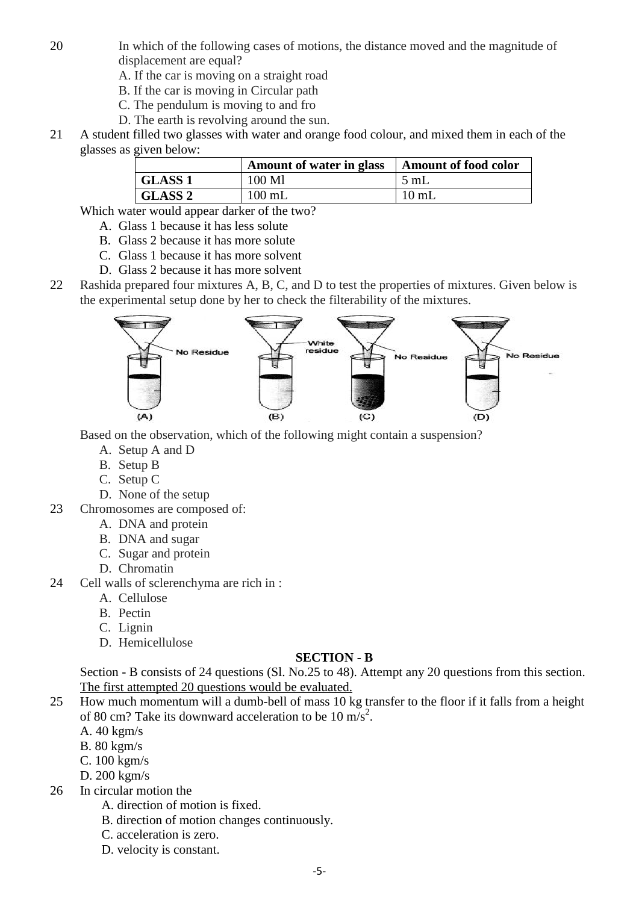- 20 In which of the following cases of motions, the distance moved and the magnitude of displacement are equal?
	- A. If the car is moving on a straight road
	- B. If the car is moving in Circular path
	- C. The pendulum is moving to and fro
	- D. The earth is revolving around the sun.
- 21 A student filled two glasses with water and orange food colour, and mixed them in each of the glasses as given below:

|                | Amount of water in glass | <b>Amount of food color</b> |
|----------------|--------------------------|-----------------------------|
| <b>GLASS 1</b> | 100 Ml                   | $5$ mL                      |
| <b>GLASS 2</b> | $100$ mL                 | $10 \text{ mL}$             |

Which water would appear darker of the two?

- A. Glass 1 because it has less solute
- B. Glass 2 because it has more solute
- C. Glass 1 because it has more solvent
- D. Glass 2 because it has more solvent
- 22 Rashida prepared four mixtures A, B, C, and D to test the properties of mixtures. Given below is the experimental setup done by her to check the filterability of the mixtures.



Based on the observation, which of the following might contain a suspension?

- A. Setup A and D
- B. Setup B
- C. Setup C
- D. None of the setup
- 23 Chromosomes are composed of:
	- A. DNA and protein
	- B. DNA and sugar
	- C. Sugar and protein
	- D. Chromatin
- 24 Cell walls of sclerenchyma are rich in :
	- A. Cellulose
	- B. Pectin
	- C. Lignin
	- D. Hemicellulose

## **SECTION - B**

Section - B consists of 24 questions (Sl. No.25 to 48). Attempt any 20 questions from this section. The first attempted 20 questions would be evaluated.

- 25 How much momentum will a dumb-bell of mass 10 kg transfer to the floor if it falls from a height of 80 cm? Take its downward acceleration to be 10  $\text{m/s}^2$ .
	- A. 40 kgm/s
	- B. 80 kgm/s
	- C. 100 kgm/s
	- D. 200 kgm/s
- 26 In circular motion the
	- A. direction of motion is fixed.
	- B. direction of motion changes continuously.
	- C. acceleration is zero.
	- D. velocity is constant.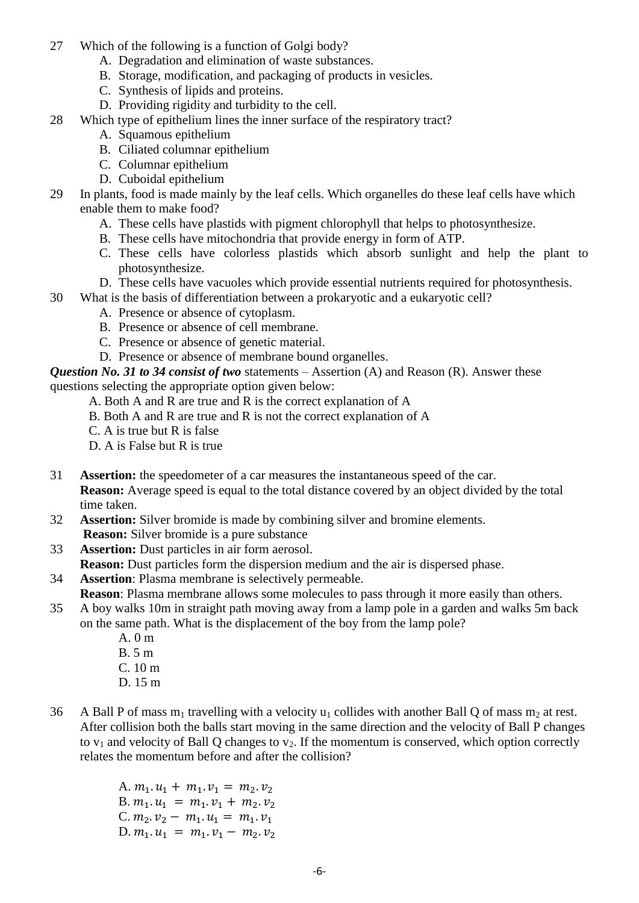- 27 Which of the following is a function of Golgi body?
	- A. Degradation and elimination of waste substances.
	- B. Storage, modification, and packaging of products in vesicles.
	- C. Synthesis of lipids and proteins.
	- D. Providing rigidity and turbidity to the cell.
- 28 Which type of epithelium lines the inner surface of the respiratory tract?
	- A. Squamous epithelium
	- B. Ciliated columnar epithelium
	- C. Columnar epithelium
	- D. Cuboidal epithelium
- 29 In plants, food is made mainly by the leaf cells. Which organelles do these leaf cells have which enable them to make food?
	- A. These cells have plastids with pigment chlorophyll that helps to photosynthesize.
	- B. These cells have mitochondria that provide energy in form of ATP.
	- C. These cells have colorless plastids which absorb sunlight and help the plant to photosynthesize.
	- D. These cells have vacuoles which provide essential nutrients required for photosynthesis.
- 30 What is the basis of differentiation between a prokaryotic and a eukaryotic cell?
	- A. Presence or absence of cytoplasm.
	- B. Presence or absence of cell membrane.
	- C. Presence or absence of genetic material.
	- D. Presence or absence of membrane bound organelles.

*Question No. 31 to 34 consist of two* statements – Assertion (A) and Reason (R). Answer these

questions selecting the appropriate option given below:

- A. Both A and R are true and R is the correct explanation of A
- B. Both A and R are true and R is not the correct explanation of A
- C. A is true but R is false
- D. A is False but R is true
- 31 **Assertion:** the speedometer of a car measures the instantaneous speed of the car. **Reason:** Average speed is equal to the total distance covered by an object divided by the total time taken.
- 32 **Assertion:** Silver bromide is made by combining silver and bromine elements. **Reason:** Silver bromide is a pure substance
- 33 **Assertion:** Dust particles in air form aerosol.
- **Reason:** Dust particles form the dispersion medium and the air is dispersed phase.
- 34 **Assertion**: Plasma membrane is selectively permeable.
- **Reason**: Plasma membrane allows some molecules to pass through it more easily than others.
- 35 A boy walks 10m in straight path moving away from a lamp pole in a garden and walks 5m back on the same path. What is the displacement of the boy from the lamp pole?
	- A. 0 m B. 5 m C. 10 m D. 15 m
- 36 A Ball P of mass m<sub>1</sub> travelling with a velocity u<sub>1</sub> collides with another Ball Q of mass m<sub>2</sub> at rest. After collision both the balls start moving in the same direction and the velocity of Ball P changes to  $v_1$  and velocity of Ball Q changes to  $v_2$ . If the momentum is conserved, which option correctly relates the momentum before and after the collision?

A.  $m_1$ .  $u_1 + m_1$ .  $v_1 = m_2$ .  $v_2$ B.  $m_1$ .  $u_1 = m_1$ .  $v_1 + m_2$ .  $v_2$ C.  $m_2 \, v_2 - m_1 \, u_1 = m_1 \, v_1$ D.  $m_1 \, u_1 = m_1 \, v_1 - m_2 \, v_2$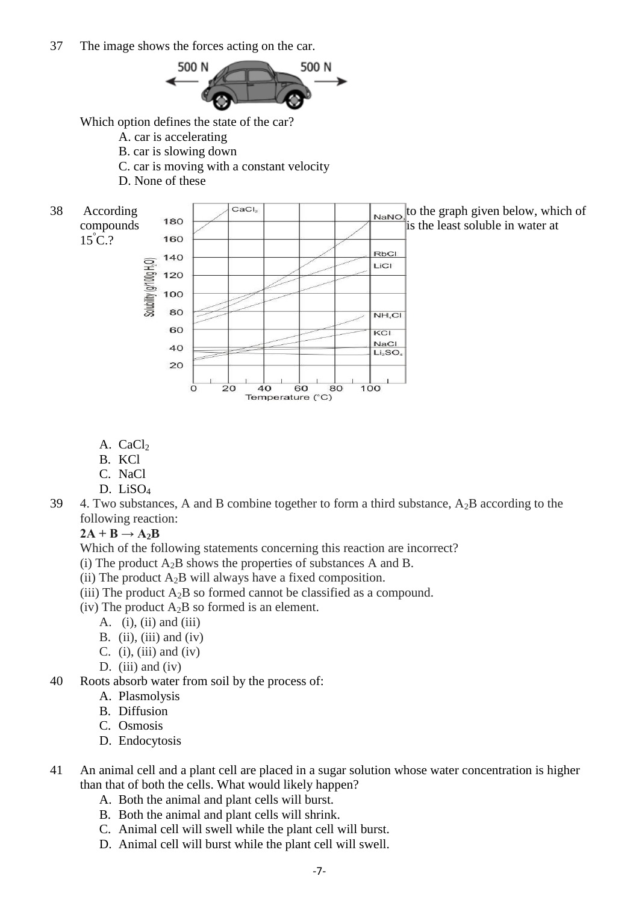37 The image shows the forces acting on the car.



Which option defines the state of the car?

- A. car is accelerating
- B. car is slowing down
- C. car is moving with a constant velocity
- D. None of these
- 

 $15^{\circ}$ C.?



- A. CaCl<sub>2</sub>
- B. KCl
- C. NaCl
- D. LiSO<sub>4</sub>
- 39 4. Two substances, A and B combine together to form a third substance,  $A_2B$  according to the following reaction:

Temperature (°C)

 $2A + B \rightarrow A_2B$ 

Which of the following statements concerning this reaction are incorrect?

- (i) The product  $A_2B$  shows the properties of substances A and B.
- (ii) The product  $A_2B$  will always have a fixed composition.
- (iii) The product  $A_2B$  so formed cannot be classified as a compound.
- (iv) The product  $A_2B$  so formed is an element.
	- A. (i), (ii) and (iii)
	- B. (ii), (iii) and (iv)
	- C. (i), (iii) and (iv)
	- D. (iii) and (iv)
- 40 Roots absorb water from soil by the process of:
	- A. Plasmolysis
	- B. Diffusion
	- C. Osmosis
	- D. Endocytosis
- 41 An animal cell and a plant cell are placed in a sugar solution whose water concentration is higher than that of both the cells. What would likely happen?
	- A. Both the animal and plant cells will burst.
	- B. Both the animal and plant cells will shrink.
	- C. Animal cell will swell while the plant cell will burst.
	- D. Animal cell will burst while the plant cell will swell.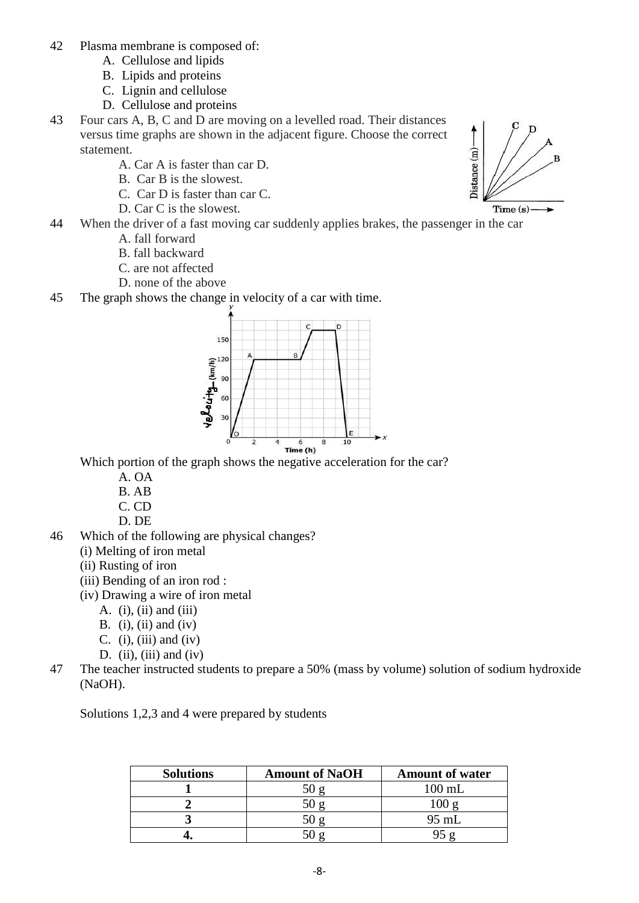- 42 Plasma membrane is composed of:
	- A. Cellulose and lipids
	- B. Lipids and proteins
	- C. Lignin and cellulose
	- D. Cellulose and proteins
- 43 Four cars A, B, C and D are moving on a levelled road. Their distances versus time graphs are shown in the adjacent figure. Choose the correct statement.
	- A. Car A is faster than car D.
	- B. Car B is the slowest.
	- C. Car D is faster than car C.
	- D. Car C is the slowest.
- 44 When the driver of a fast moving car suddenly applies brakes, the passenger in the car
	- A. fall forward
	- B. fall backward
	- C. are not affected
	- D. none of the above
- 45 The graph shows the change in velocity of a car with time.



Which portion of the graph shows the negative acceleration for the car?

- A. OA
- B. AB
- C. CD
- D. DE
- 46 Which of the following are physical changes?
	- (i) Melting of iron metal
	- (ii) Rusting of iron
	- (iii) Bending of an iron rod :
	- (iv) Drawing a wire of iron metal
		- A.  $(i)$ ,  $(ii)$  and  $(iii)$
		- B. (i), (ii) and (iv)
		- C. (i), (iii) and (iv)
		- D. (ii), (iii) and (iv)
- 47 The teacher instructed students to prepare a 50% (mass by volume) solution of sodium hydroxide (NaOH).

Solutions 1,2,3 and 4 were prepared by students

| <b>Solutions</b> | <b>Amount of NaOH</b> | <b>Amount of water</b> |
|------------------|-----------------------|------------------------|
|                  |                       | $100 \text{ mL}$       |
|                  |                       |                        |
|                  |                       | 95 mL                  |
|                  |                       |                        |

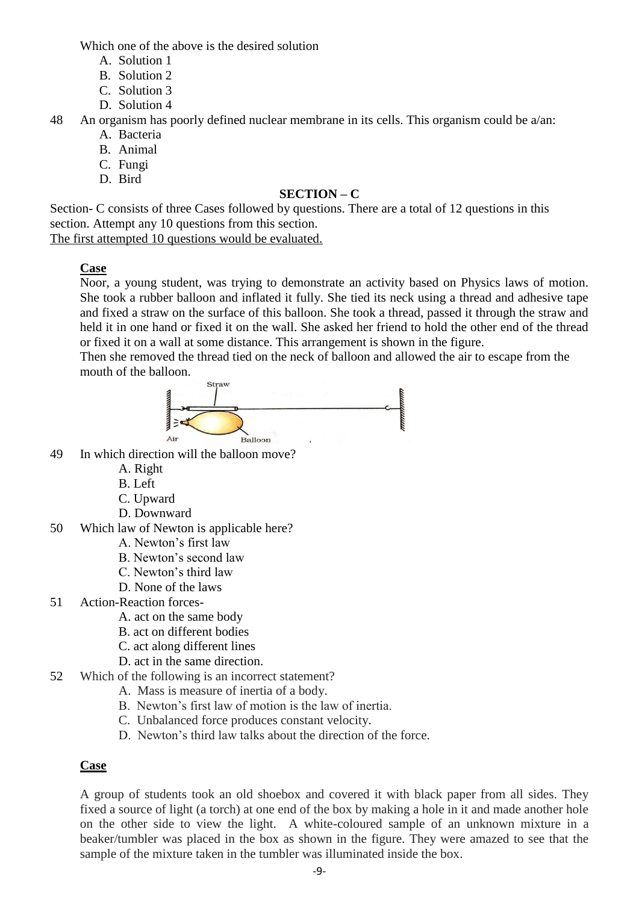Which one of the above is the desired solution

- A. Solution 1
- B. Solution 2
- C. Solution 3
- D. Solution 4

48 An organism has poorly defined nuclear membrane in its cells. This organism could be a/an:

- A. Bacteria
- B. Animal
- C. Fungi
- D. Bird

# **SECTION – C**

Section- C consists of three Cases followed by questions. There are a total of 12 questions in this section. Attempt any 10 questions from this section.

The first attempted 10 questions would be evaluated.

# **Case**

Noor, a young student, was trying to demonstrate an activity based on Physics laws of motion. She took a rubber balloon and inflated it fully. She tied its neck using a thread and adhesive tape and fixed a straw on the surface of this balloon. She took a thread, passed it through the straw and held it in one hand or fixed it on the wall. She asked her friend to hold the other end of the thread or fixed it on a wall at some distance. This arrangement is shown in the figure.

Then she removed the thread tied on the neck of balloon and allowed the air to escape from the mouth of the balloon.



- 49 In which direction will the balloon move?
	- A. Right
	- B. Left
	- C. Upward
	- D. Downward
- 50 Which law of Newton is applicable here?
	- A. Newton's first law
	- B. Newton's second law
	- C. Newton's third law
	- D. None of the laws
- 51 Action-Reaction forces-
	- A. act on the same body
	- B. act on different bodies
	- C. act along different lines
	- D. act in the same direction.
- 52 Which of the following is an incorrect statement?
	- A. Mass is measure of inertia of a body.
	- B. Newton's first law of motion is the law of inertia.
	- C. Unbalanced force produces constant velocity.
	- D. Newton's third law talks about the direction of the force.

# **Case**

A group of students took an old shoebox and covered it with black paper from all sides. They fixed a source of light (a torch) at one end of the box by making a hole in it and made another hole on the other side to view the light. A white-coloured sample of an unknown mixture in a beaker/tumbler was placed in the box as shown in the figure. They were amazed to see that the sample of the mixture taken in the tumbler was illuminated inside the box.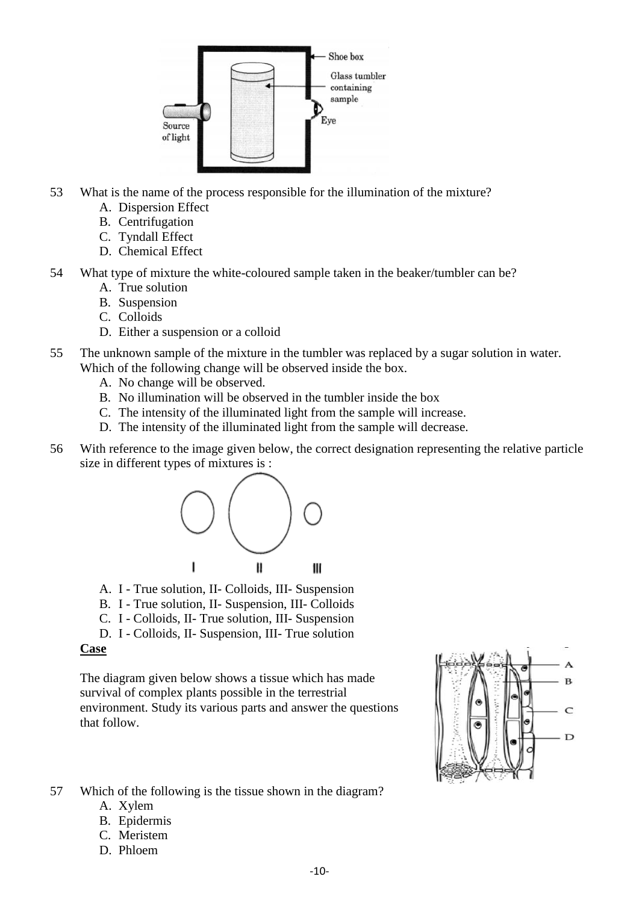

- 53 What is the name of the process responsible for the illumination of the mixture?
	- A. Dispersion Effect
	- B. Centrifugation
	- C. Tyndall Effect
	- D. Chemical Effect
- 54 What type of mixture the white-coloured sample taken in the beaker/tumbler can be?
	- A. True solution
	- B. Suspension
	- C. Colloids
	- D. Either a suspension or a colloid
- 55 The unknown sample of the mixture in the tumbler was replaced by a sugar solution in water. Which of the following change will be observed inside the box.
	- A. No change will be observed.
	- B. No illumination will be observed in the tumbler inside the box
	- C. The intensity of the illuminated light from the sample will increase.
	- D. The intensity of the illuminated light from the sample will decrease.
- 56 With reference to the image given below, the correct designation representing the relative particle size in different types of mixtures is :



- A. I True solution, II- Colloids, III- Suspension
- B. I True solution, II- Suspension, III- Colloids
- C. I Colloids, II- True solution, III- Suspension
- D. I Colloids, II- Suspension, III- True solution

## **Case**

The diagram given below shows a tissue which has made survival of complex plants possible in the terrestrial environment. Study its various parts and answer the questions that follow.

57 Which of the following is the tissue shown in the diagram?

- A. Xylem
- B. Epidermis
- C. Meristem
- D. Phloem